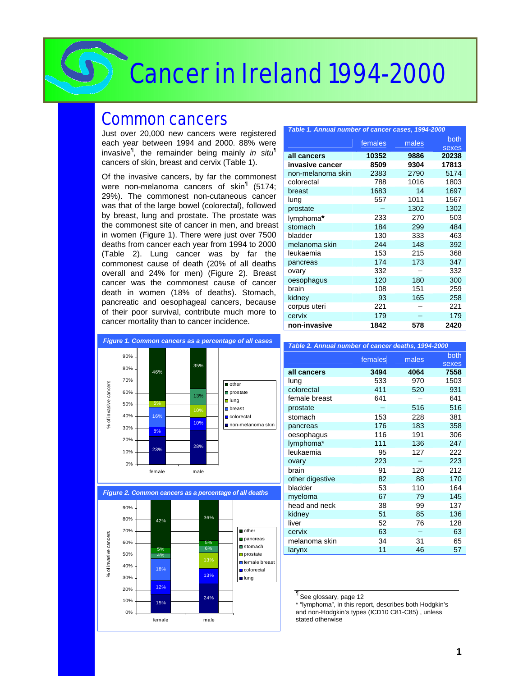# Cancer in Ireland 1994-2000

### Common cancers

Just over 20,000 new cancers were registered each year between 1994 and 2000. 88% were invasive*¶* , the remainder being mainly *in situ¶* cancers of skin, breast and cervix (Table 1).

Of the invasive cancers, by far the commonest were non-melanoma cancers of skin*¶* (5174; 29%). The commonest non-cutaneous cancer was that of the large bowel (colorectal), followed by breast, lung and prostate. The prostate was the commonest site of cancer in men, and breast in women (Figure 1). There were just over 7500 deaths from cancer each year from 1994 to 2000 (Table 2). Lung cancer was by far the commonest cause of death (20% of all deaths overall and 24% for men) (Figure 2). Breast cancer was the commonest cause of cancer death in women (18% of deaths). Stomach, pancreatic and oesophageal cancers, because of their poor survival, contribute much more to cancer mortality than to cancer incidence.

| Table 1. Annual number of cancer cases, 1994-2000 |         |       |       |  |  |  |  |
|---------------------------------------------------|---------|-------|-------|--|--|--|--|
|                                                   | females | males | both  |  |  |  |  |
|                                                   |         |       | sexes |  |  |  |  |
| all cancers                                       | 10352   | 9886  | 20238 |  |  |  |  |
| invasive cancer                                   | 8509    | 9304  | 17813 |  |  |  |  |
| non-melanoma skin                                 | 2383    | 2790  | 5174  |  |  |  |  |
| colorectal                                        | 788     | 1016  | 1803  |  |  |  |  |
| breast                                            | 1683    | 14    | 1697  |  |  |  |  |
| lung                                              | 557     | 1011  | 1567  |  |  |  |  |
| prostate                                          |         | 1302  | 1302  |  |  |  |  |
| lymphoma*                                         | 233     | 270   | 503   |  |  |  |  |
| stomach                                           | 184     | 299   | 484   |  |  |  |  |
| bladder                                           | 130     | 333   | 463   |  |  |  |  |
| melanoma skin                                     | 244     | 148   | 392   |  |  |  |  |
| leukaemia                                         | 153     | 215   | 368   |  |  |  |  |
| pancreas                                          | 174     | 173   | 347   |  |  |  |  |
| ovary                                             | 332     |       | 332   |  |  |  |  |
| oesophagus                                        | 120     | 180   | 300   |  |  |  |  |
| brain                                             | 108     | 151   | 259   |  |  |  |  |
| kidney                                            | 93      | 165   | 258   |  |  |  |  |
| corpus uteri                                      | 221     |       | 221   |  |  |  |  |
| cervix                                            | 179     |       | 179   |  |  |  |  |
| non-invasive                                      | 1842    | 578   | 2420  |  |  |  |  |



| Table 2. Annual number of cancer deaths, 1994-2000 |         |       |               |
|----------------------------------------------------|---------|-------|---------------|
|                                                    | females | males | both<br>sexes |
| all cancers                                        | 3494    | 4064  | 7558          |
| lung                                               | 533     | 970   | 1503          |
| colorectal                                         | 411     | 520   | 931           |
| female breast                                      | 641     |       | 641           |
| prostate                                           |         | 516   | 516           |
| stomach                                            | 153     | 228   | 381           |
| pancreas                                           | 176     | 183   | 358           |
| oesophagus                                         | 116     | 191   | 306           |
| lymphoma*                                          | 111     | 136   | 247           |
| leukaemia                                          | 95      | 127   | 222           |
| ovary                                              | 223     |       | 223           |
| brain                                              | 91      | 120   | 212           |
| other digestive                                    | 82      | 88    | 170           |
| bladder                                            | 53      | 110   | 164           |
| myeloma                                            | 67      | 79    | 145           |
| head and neck                                      | 38      | 99    | 137           |
| kidney                                             | 51      | 85    | 136           |
| liver                                              | 52      | 76    | 128           |
| cervix                                             | 63      |       | 63            |
| melanoma skin                                      | 34      | 31    | 65            |
| larynx                                             | 11      | 46    | 57            |





*¶* See glossary, page 12

\* "lymphoma", in this report, describes both Hodgkin's and non-Hodgkin's types (ICD10 C81-C85) , unless stated otherwise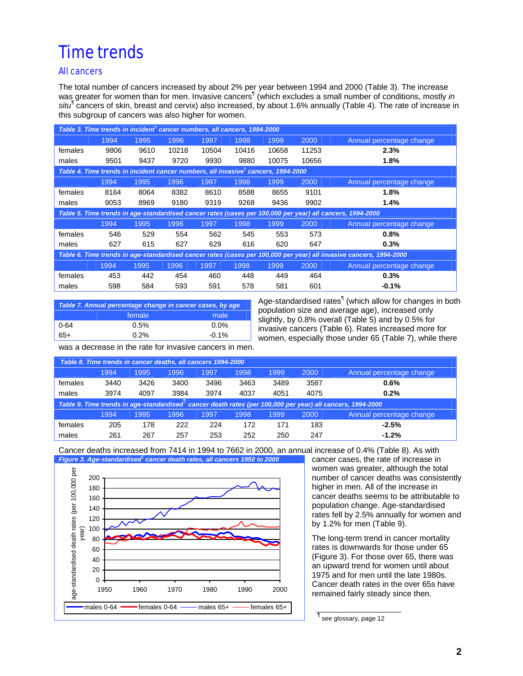### Time trends

### All cancers

The total number of cancers increased by about 2% per year between 1994 and 2000 (Table 3). The increase was greater for women than for men. Invasive cancers¶ (which excludes a small number of conditions, mostly *in*  situ<sup>¶</sup> cancers of skin, breast and cervix) also increased, by about 1.6% annually (Table 4). The rate of increase in this subgroup of cancers was also higher for women.

|                                                                                               | Table 3. Time trends in incident <sup>1</sup> cancer numbers, all cancers, 1994-2000 |      |       |       |       |       |       |                                                                                                                    |  |
|-----------------------------------------------------------------------------------------------|--------------------------------------------------------------------------------------|------|-------|-------|-------|-------|-------|--------------------------------------------------------------------------------------------------------------------|--|
|                                                                                               | 1994                                                                                 | 1995 | 1996  | 1997  | 1998  | 1999  | 2000  | Annual percentage change                                                                                           |  |
| females                                                                                       | 9806                                                                                 | 9610 | 10218 | 10504 | 10416 | 10658 | 11253 | 2.3%                                                                                                               |  |
| males                                                                                         | 9501                                                                                 | 9437 | 9720  | 9930  | 9880  | 10075 | 10656 | 1.8%                                                                                                               |  |
| Table 4. Time trends in incident cancer numbers, all invasive <sup>1</sup> cancers, 1994-2000 |                                                                                      |      |       |       |       |       |       |                                                                                                                    |  |
|                                                                                               | 1994                                                                                 | 1995 | 1996  | 1997  | 1998  | 1999  | 2000  | Annual percentage change                                                                                           |  |
| females                                                                                       | 8164                                                                                 | 8064 | 8382  | 8610  | 8588  | 8655  | 9101  | 1.8%                                                                                                               |  |
| males                                                                                         | 9053                                                                                 | 8969 | 9180  | 9319  | 9268  | 9436  | 9902  | 1.4%                                                                                                               |  |
|                                                                                               |                                                                                      |      |       |       |       |       |       | Table 5. Time trends in age-standardised cancer rates (cases per 100,000 per year) all cancers, 1994-2000          |  |
|                                                                                               | 1994                                                                                 | 1995 | 1996  | 1997  | 1998  | 1999  | 2000  | Annual percentage change                                                                                           |  |
| females                                                                                       | 546                                                                                  | 529  | 554   | 562   | 545   | 553   | 573   | 0.8%                                                                                                               |  |
| males                                                                                         | 627                                                                                  | 615  | 627   | 629   | 616   | 620   | 647   | 0.3%                                                                                                               |  |
|                                                                                               |                                                                                      |      |       |       |       |       |       | Table 6. Time trends in age-standardised cancer rates (cases per 100,000 per year) all invasive cancers, 1994-2000 |  |
|                                                                                               | 1994                                                                                 | 1995 | 1996  | 1997  | 1998  | 1999  | 2000  | Annual percentage change                                                                                           |  |
| females                                                                                       | 453                                                                                  | 442  | 454   | 460   | 448   | 449   | 464   | 0.3%                                                                                                               |  |
| males                                                                                         | 598                                                                                  | 584  | 593   | 591   | 578   | 581   | 601   | $-0.1%$                                                                                                            |  |

| Table 7. Annual percentage change in cancer cases, by age |         |          |  |  |  |  |  |
|-----------------------------------------------------------|---------|----------|--|--|--|--|--|
|                                                           | female  | male     |  |  |  |  |  |
| $0 - 64$                                                  | 0.5%    | 0.0%     |  |  |  |  |  |
| 65+                                                       | $0.2\%$ | $-0.1\%$ |  |  |  |  |  |

Age-standardised rates<sup>¶</sup> (which allow for changes in both population size and average age), increased only slightly, by 0.8% overall (Table 5) and by 0.5% for invasive cancers (Table 6). Rates increased more for women, especially those under 65 (Table 7), while there

was a decrease in the rate for invasive cancers in men.

| Table 8. Time trends in cancer deaths, all cancers 1994-2000 |      |      |      |      |      |      |      |                                                                                                                        |
|--------------------------------------------------------------|------|------|------|------|------|------|------|------------------------------------------------------------------------------------------------------------------------|
|                                                              | 1994 | 1995 | 1996 | 1997 | 1998 | 1999 | 2000 | Annual percentage change                                                                                               |
| females                                                      | 3440 | 3426 | 3400 | 3496 | 3463 | 3489 | 3587 | 0.6%                                                                                                                   |
| males                                                        | 3974 | 4097 | 3984 | 3974 | 4037 | 4051 | 4075 | 0.2%                                                                                                                   |
|                                                              |      |      |      |      |      |      |      | Table 9. Time trends in age-standardised <sup>"</sup> cancer death rates (per 100,000 per year) all cancers, 1994-2000 |
|                                                              | 1994 | 1995 | 1996 | 1997 | 1998 | 1999 | 2000 | Annual percentage change                                                                                               |
| females                                                      | 205  | 178  | 222  | 224  | 172  | 171  | 183  | $-2.5%$                                                                                                                |
| males                                                        | 261  | 267  | 257  | 253  | 252  | 250  | 247  | $-1.2%$                                                                                                                |

Cancer deaths increased from 7414 in 1994 to 7662 in 2000, an annual increase of 0.4% (Table 8). As with Figure 3. Age-standardised<sup>l</sup> cancer death rates, all cancers 1950 to 2000



cancer cases, the rate of increase in women was greater, although the total number of cancer deaths was consistently higher in men. All of the increase in cancer deaths seems to be attributable to population change. Age-standardised rates fell by 2.5% annually for women and by 1.2% for men (Table 9).

The long-term trend in cancer mortality rates is downwards for those under 65 (Figure 3). For those over 65, there was an upward trend for women until about 1975 and for men until the late 1980s. Cancer death rates in the over 65s have remained fairly steady since then.

¶ see glossary, page 12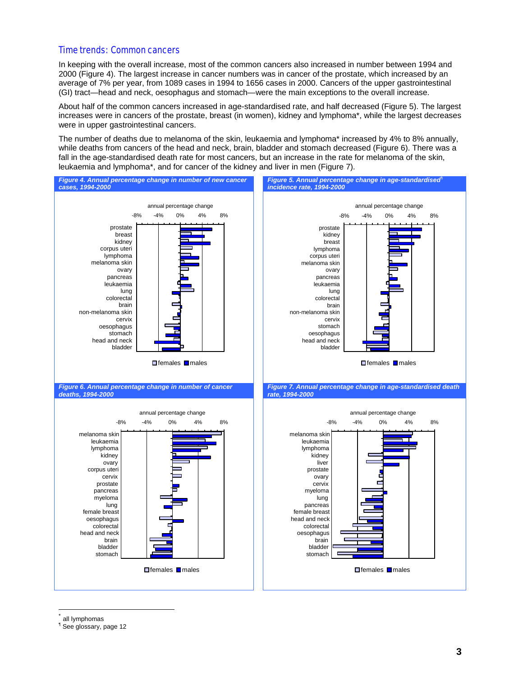#### Time trends: Common cancers

In keeping with the overall increase, most of the common cancers also increased in number between 1994 and 2000 (Figure 4). The largest increase in cancer numbers was in cancer of the prostate, which increased by an average of 7% per year, from 1089 cases in 1994 to 1656 cases in 2000. Cancers of the upper gastrointestinal (GI) tract—head and neck, oesophagus and stomach—were the main exceptions to the overall increase.

About half of the common cancers increased in age-standardised rate, and half decreased (Figure 5). The largest increases were in cancers of the prostate, breast (in women), kidney and lymphoma\*, while the largest decreases were in upper gastrointestinal cancers.

The number of deaths due to melanoma of the skin, leukaemia and lymphoma\* increased by 4% to 8% annually, while deaths from cancers of the head and neck, brain, bladder and stomach decreased (Figure 6). There was a fall in the age-standardised death rate for most cancers, but an increase in the rate for melanoma of the skin, leukaemia and lymphoma\*, and for cancer of the kidney and liver in men (Figure 7).



all lymphomas

 $\overline{a}$ 

¶ See glossary, page 12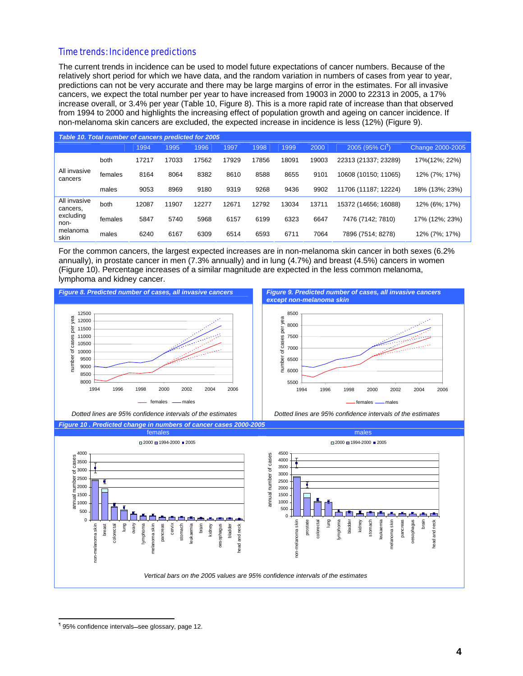#### Time trends: Incidence predictions

The current trends in incidence can be used to model future expectations of cancer numbers. Because of the relatively short period for which we have data, and the random variation in numbers of cases from year to year, predictions can not be very accurate and there may be large margins of error in the estimates. For all invasive cancers, we expect the total number per year to have increased from 19003 in 2000 to 22313 in 2005, a 17% increase overall, or 3.4% per year (Table 10, Figure 8). This is a more rapid rate of increase than that observed from 1994 to 2000 and highlights the increasing effect of population growth and ageing on cancer incidence. If non-melanoma skin cancers are excluded, the expected increase in incidence is less (12%) (Figure 9).

| Table 10. Total number of cancers predicted for 2005 |         |       |       |       |       |       |       |       |                             |                  |
|------------------------------------------------------|---------|-------|-------|-------|-------|-------|-------|-------|-----------------------------|------------------|
|                                                      |         | 1994  | 1995  | 1996  | 1997  | 1998  | 1999  | 2000  | 2005 (95% CI <sup>1</sup> ) | Change 2000-2005 |
|                                                      | both    | 17217 | 17033 | 17562 | 17929 | 17856 | 18091 | 19003 | 22313 (21337; 23289)        | 17%(12%; 22%)    |
| All invasive<br>cancers                              | females | 8164  | 8064  | 8382  | 8610  | 8588  | 8655  | 9101  | 10608 (10150; 11065)        | 12% (7%; 17%)    |
|                                                      | males   | 9053  | 8969  | 9180  | 9319  | 9268  | 9436  | 9902  | 11706 (11187: 12224)        | 18% (13%; 23%)   |
| All invasive<br>cancers.                             | both    | 12087 | 11907 | 12277 | 12671 | 12792 | 13034 | 13711 | 15372 (14656: 16088)        | 12% (6%; 17%)    |
| excluding<br>non-                                    | females | 5847  | 5740  | 5968  | 6157  | 6199  | 6323  | 6647  | 7476 (7142: 7810)           | 17% (12%; 23%)   |
| melanoma<br>skin                                     | males   | 6240  | 6167  | 6309  | 6514  | 6593  | 6711  | 7064  | 7896 (7514; 8278)           | 12% (7%; 17%)    |

For the common cancers, the largest expected increases are in non-melanoma skin cancer in both sexes (6.2% annually), in prostate cancer in men (7.3% annually) and in lung (4.7%) and breast (4.5%) cancers in women (Figure 10). Percentage increases of a similar magnitude are expected in the less common melanoma, lymphoma and kidney cancer.



<sup>&</sup>lt;sup>1</sup>95% confidence intervals-see glossary, page 12.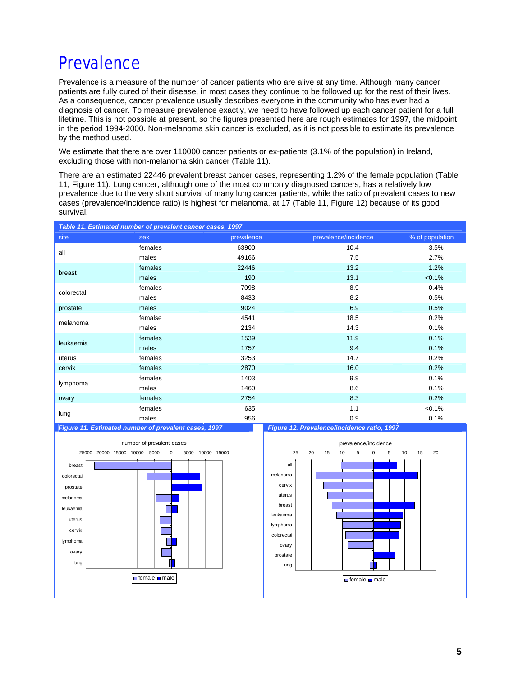### **Prevalence**

Prevalence is a measure of the number of cancer patients who are alive at any time. Although many cancer patients are fully cured of their disease, in most cases they continue to be followed up for the rest of their lives. As a consequence, cancer prevalence usually describes everyone in the community who has ever had a diagnosis of cancer. To measure prevalence exactly, we need to have followed up each cancer patient for a full lifetime. This is not possible at present, so the figures presented here are rough estimates for 1997, the midpoint in the period 1994-2000. Non-melanoma skin cancer is excluded, as it is not possible to estimate its prevalence by the method used.

We estimate that there are over 110000 cancer patients or ex-patients (3.1% of the population) in Ireland, excluding those with non-melanoma skin cancer (Table 11).

There are an estimated 22446 prevalent breast cancer cases, representing 1.2% of the female population (Table 11, Figure 11). Lung cancer, although one of the most commonly diagnosed cancers, has a relatively low prevalence due to the very short survival of many lung cancer patients, while the ratio of prevalent cases to new cases (prevalence/incidence ratio) is highest for melanoma, at 17 (Table 11, Figure 12) because of its good survival.

| Table 11. Estimated number of prevalent cancer cases, 1997 |                                                                 |                    |                                             |                 |  |  |  |  |
|------------------------------------------------------------|-----------------------------------------------------------------|--------------------|---------------------------------------------|-----------------|--|--|--|--|
| site                                                       | sex                                                             | prevalence         | prevalence/incidence                        | % of population |  |  |  |  |
| all                                                        | females                                                         | 63900              | 10.4                                        | 3.5%            |  |  |  |  |
|                                                            | males                                                           | 49166              | 7.5                                         | 2.7%            |  |  |  |  |
| breast                                                     | females                                                         | 22446              | 13.2                                        | 1.2%            |  |  |  |  |
|                                                            | males                                                           | 190                | 13.1                                        | $< 0.1\%$       |  |  |  |  |
| colorectal                                                 | females                                                         | 7098               | 8.9                                         | 0.4%            |  |  |  |  |
|                                                            | males                                                           | 8433               | 8.2                                         | 0.5%            |  |  |  |  |
| prostate                                                   | males                                                           | 9024               | 6.9                                         | 0.5%            |  |  |  |  |
| melanoma                                                   | femalse                                                         | 4541               | 18.5                                        | 0.2%            |  |  |  |  |
|                                                            | males                                                           | 2134               | 14.3                                        | 0.1%            |  |  |  |  |
| leukaemia                                                  | females                                                         | 1539               | 11.9                                        | 0.1%            |  |  |  |  |
|                                                            | males                                                           | 1757               | 9.4                                         | 0.1%            |  |  |  |  |
| uterus                                                     | females                                                         | 3253               | 14.7                                        | 0.2%            |  |  |  |  |
| cervix                                                     | females                                                         | 2870               | 16.0                                        | 0.2%            |  |  |  |  |
| lymphoma                                                   | females                                                         | 1403               | 9.9                                         | 0.1%            |  |  |  |  |
|                                                            | males                                                           | 1460               | 8.6                                         | 0.1%            |  |  |  |  |
| ovary                                                      | females                                                         | 2754               | 8.3                                         | 0.2%            |  |  |  |  |
| lung                                                       | females                                                         | 635                | 1.1                                         | $< 0.1\%$       |  |  |  |  |
|                                                            | males                                                           | 956                | 0.9                                         | 0.1%            |  |  |  |  |
|                                                            | Figure 11. Estimated number of prevalent cases, 1997            |                    | Figure 12. Prevalence/incidence ratio, 1997 |                 |  |  |  |  |
|                                                            | number of prevalent cases                                       |                    | prevalence/incidence                        |                 |  |  |  |  |
|                                                            | 25000 20000 15000 10000 5000<br>5000 10000 15000<br>$\mathbf 0$ | 25                 | 20<br>15<br>10<br>5<br>5<br>0               | 10<br>15<br>20  |  |  |  |  |
|                                                            |                                                                 | all                |                                             |                 |  |  |  |  |
| breast                                                     |                                                                 |                    |                                             |                 |  |  |  |  |
| colorectal                                                 |                                                                 | melanoma<br>cervix |                                             |                 |  |  |  |  |
| prostate                                                   |                                                                 | uterus             |                                             |                 |  |  |  |  |
| melanoma                                                   |                                                                 | breast             |                                             |                 |  |  |  |  |
| leukaemia                                                  |                                                                 |                    |                                             |                 |  |  |  |  |
| uterus                                                     |                                                                 | leukaemia          |                                             |                 |  |  |  |  |
| cervix                                                     |                                                                 | lymphoma           |                                             |                 |  |  |  |  |
| lymphoma                                                   |                                                                 | colorectal         |                                             |                 |  |  |  |  |
| ovary                                                      |                                                                 | ovary              |                                             |                 |  |  |  |  |
| lung                                                       |                                                                 | prostate           | П                                           |                 |  |  |  |  |

lung

**female** male

Ш

female male

П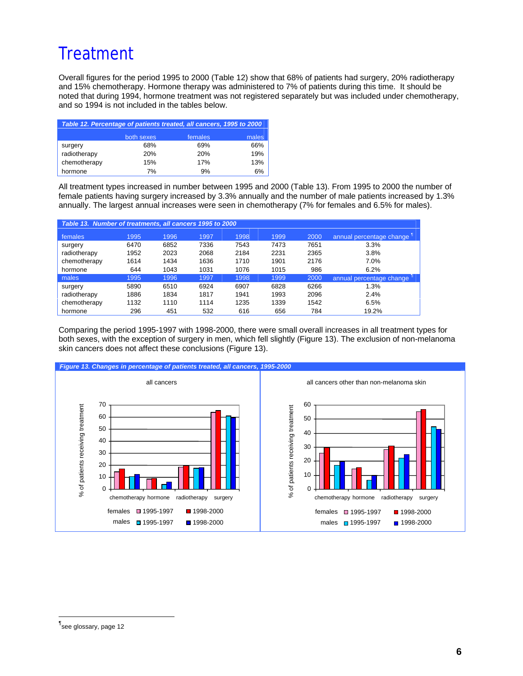## **Treatment**

Overall figures for the period 1995 to 2000 (Table 12) show that 68% of patients had surgery, 20% radiotherapy and 15% chemotherapy. Hormone therapy was administered to 7% of patients during this time. It should be noted that during 1994, hormone treatment was not registered separately but was included under chemotherapy, and so 1994 is not included in the tables below.

|              | Table 12. Percentage of patients treated, all cancers, 1995 to 2000 |            |       |
|--------------|---------------------------------------------------------------------|------------|-------|
|              | both sexes                                                          | females    | males |
| surgery      | 68%                                                                 | 69%        | 66%   |
| radiotherapy | <b>20%</b>                                                          | <b>20%</b> | 19%   |
| chemotherapy | 15%                                                                 | 17%        | 13%   |
| hormone      | 7%                                                                  | 9%         | 6%    |

All treatment types increased in number between 1995 and 2000 (Table 13). From 1995 to 2000 the number of female patients having surgery increased by 3.3% annually and the number of male patients increased by 1.3% annually. The largest annual increases were seen in chemotherapy (7% for females and 6.5% for males).

| Table 13. Number of treatments, all cancers 1995 to 2000 |      |      |      |      |      |      |                          |  |
|----------------------------------------------------------|------|------|------|------|------|------|--------------------------|--|
| <b>females</b>                                           | 1995 | 1996 | 1997 | 1998 | 1999 | 2000 | annual percentage change |  |
| surgery                                                  | 6470 | 6852 | 7336 | 7543 | 7473 | 7651 | 3.3%                     |  |
| radiotherapy                                             | 1952 | 2023 | 2068 | 2184 | 2231 | 2365 | 3.8%                     |  |
| chemotherapy                                             | 1614 | 1434 | 1636 | 1710 | 1901 | 2176 | 7.0%                     |  |
| hormone                                                  | 644  | 1043 | 1031 | 1076 | 1015 | 986  | 6.2%                     |  |
| males                                                    | 1995 | 1996 | 1997 | 1998 | 1999 | 2000 | annual percentage change |  |
| surgery                                                  | 5890 | 6510 | 6924 | 6907 | 6828 | 6266 | 1.3%                     |  |
| radiotherapy                                             | 1886 | 1834 | 1817 | 1941 | 1993 | 2096 | 2.4%                     |  |
| chemotherapy                                             | 1132 | 1110 | 1114 | 1235 | 1339 | 1542 | 6.5%                     |  |
| hormone                                                  | 296  | 451  | 532  | 616  | 656  | 784  | 19.2%                    |  |

Comparing the period 1995-1997 with 1998-2000, there were small overall increases in all treatment types for both sexes, with the exception of surgery in men, which fell slightly (Figure 13). The exclusion of non-melanoma skin cancers does not affect these conclusions (Figure 13).



<sup>¶</sup> see glossary, page 12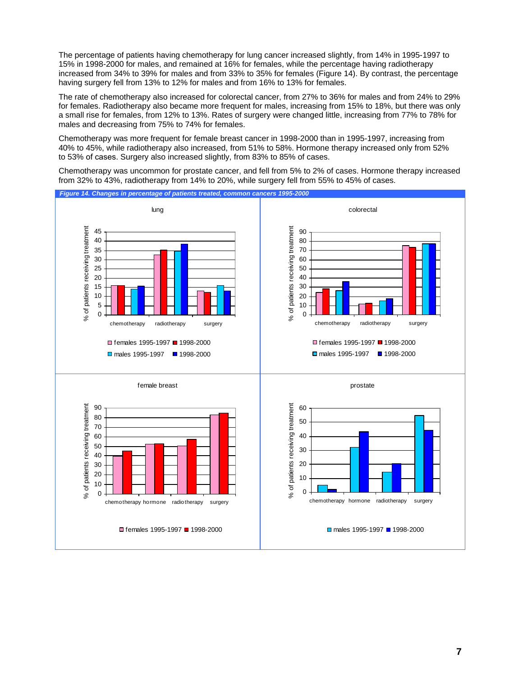The percentage of patients having chemotherapy for lung cancer increased slightly, from 14% in 1995-1997 to 15% in 1998-2000 for males, and remained at 16% for females, while the percentage having radiotherapy increased from 34% to 39% for males and from 33% to 35% for females (Figure 14). By contrast, the percentage having surgery fell from 13% to 12% for males and from 16% to 13% for females.

The rate of chemotherapy also increased for colorectal cancer, from 27% to 36% for males and from 24% to 29% for females. Radiotherapy also became more frequent for males, increasing from 15% to 18%, but there was only a small rise for females, from 12% to 13%. Rates of surgery were changed little, increasing from 77% to 78% for males and decreasing from 75% to 74% for females.

Chemotherapy was more frequent for female breast cancer in 1998-2000 than in 1995-1997, increasing from 40% to 45%, while radiotherapy also increased, from 51% to 58%. Hormone therapy increased only from 52% to 53% of cases. Surgery also increased slightly, from 83% to 85% of cases.

Chemotherapy was uncommon for prostate cancer, and fell from 5% to 2% of cases. Hormone therapy increased from 32% to 43%, radiotherapy from 14% to 20%, while surgery fell from 55% to 45% of cases.

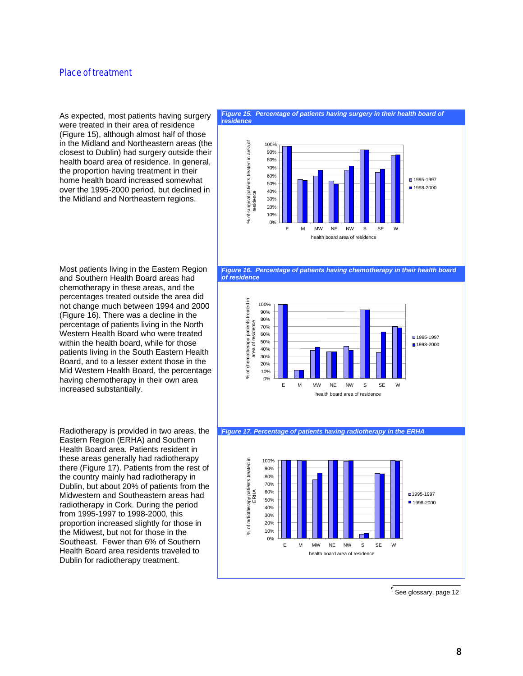### Place of treatment

As expected, most patients having surgery were treated in their area of residence (Figure 15), although almost half of those in the Midland and Northeastern areas (the closest to Dublin) had surgery outside their health board area of residence. In general, the proportion having treatment in their home health board increased somewhat over the 1995-2000 period, but declined in the Midland and Northeastern regions.

#### Figure 15. Percentage of patients having surgery in their health board of *residence*





% of chemotherapy patients treated in treated in 100% 90% 80% % of chemotherapy patients<br>area of residence area of residence 70% 60%  $\P$ 1995-1997 50% ■1998-2000 40% area 30% 20% 10% 0% E M MW NE NW S SE W health board area of residence

*Figure 17. Percentage of patients having radiotherapy in the ERHA*



¶ See glossary, page 12

Most patients living in the Eastern Region and Southern Health Board areas had chemotherapy in these areas, and the percentages treated outside the area did not change much between 1994 and 2000 (Figure 16). There was a decline in the percentage of patients living in the North Western Health Board who were treated within the health board, while for those patients living in the South Eastern Health Board, and to a lesser extent those in the Mid Western Health Board, the percentage having chemotherapy in their own area increased substantially.

Radiotherapy is provided in two areas, the Eastern Region (ERHA) and Southern Health Board area. Patients resident in these areas generally had radiotherapy there (Figure 17). Patients from the rest of the country mainly had radiotherapy in Dublin, but about 20% of patients from the Midwestern and Southeastern areas had radiotherapy in Cork. During the period from 1995-1997 to 1998-2000, this proportion increased slightly for those in the Midwest, but not for those in the Southeast. Fewer than 6% of Southern Health Board area residents traveled to Dublin for radiotherapy treatment.

**8**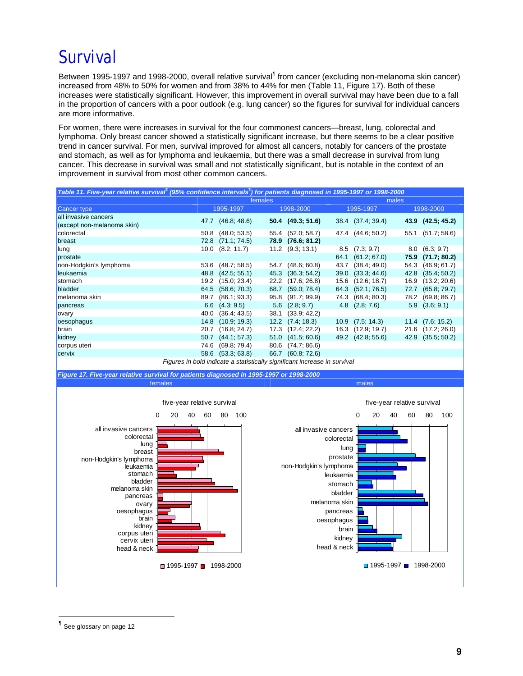# Survival

Between 1995-1997 and 1998-2000, overall relative survival<sup>¶</sup> from cancer (excluding non-melanoma skin cancer) increased from 48% to 50% for women and from 38% to 44% for men (Table 11, Figure 17). Both of these increases were statistically significant. However, this improvement in overall survival may have been due to a fall in the proportion of cancers with a poor outlook (e.g. lung cancer) so the figures for survival for individual cancers are more informative.

For women, there were increases in survival for the four commonest cancers—breast, lung, colorectal and lymphoma. Only breast cancer showed a statistically significant increase, but there seems to be a clear positive trend in cancer survival. For men, survival improved for almost all cancers, notably for cancers of the prostate and stomach, as well as for lymphoma and leukaemia, but there was a small decrease in survival from lung cancer. This decrease in survival was small and not statistically significant, but is notable in the context of an improvement in survival from most other common cancers.

| Table 11. Five-year relative survival <sup>®</sup> (95% confidence intervals <sup>®</sup> ) for patients diagnosed in 1995-1997 or 1998-2000 |                                                                           |         |                      |      |                    |      |                      |
|----------------------------------------------------------------------------------------------------------------------------------------------|---------------------------------------------------------------------------|---------|----------------------|------|--------------------|------|----------------------|
|                                                                                                                                              |                                                                           | females |                      |      | males              |      |                      |
| <b>Cancer type</b>                                                                                                                           | 1995-1997                                                                 |         | 1998-2000            |      | 1995-1997          |      | 1998-2000            |
| all invasive cancers<br>(except non-melanoma skin)                                                                                           | 47.7 (46.8; 48.6)                                                         |         | 50.4 (49.3; 51.6)    |      | 38.4 (37.4; 39.4)  |      | 43.9 (42.5; 45.2)    |
| colorectal                                                                                                                                   | 50.8 (48.0; 53.5)                                                         |         | 55.4 (52.0; 58.7)    |      | 47.4 (44.6; 50.2)  |      | 55.1 (51.7; 58.6)    |
| breast                                                                                                                                       | (71.1; 74.5)<br>72.8                                                      | 78.9    | (76.6; 81.2)         |      |                    |      |                      |
| lung                                                                                                                                         | $10.0$ $(8.2; 11.7)$                                                      |         | $11.2$ $(9.3; 13.1)$ | 8.5  | (7.3; 9.7)         |      | $8.0\quad(6.3; 9.7)$ |
| prostate                                                                                                                                     |                                                                           |         |                      | 64.1 | (61.2; 67.0)       | 75.9 | (71.7; 80.2)         |
| non-Hodgkin's lymphoma                                                                                                                       | 53.6 (48.7; 58.5)                                                         |         | 54.7 (48.6; 60.8)    | 43.7 | (38.4; 49.0)       | 54.3 | (46.9; 61.7)         |
| leukaemia                                                                                                                                    | (42.5; 55.1)<br>48.8                                                      | 45.3    | (36.3; 54.2)         | 39.0 | (33.3; 44.6)       | 42.8 | (35.4; 50.2)         |
| stomach                                                                                                                                      | (15.0; 23.4)<br>19.2                                                      |         | 22.2 (17.6; 26.8)    | 15.6 | (12.6; 18.7)       | 16.9 | (13.2; 20.6)         |
| bladder                                                                                                                                      | 64.5 (58.6; 70.3)                                                         |         | 68.7 (59.0; 78.4)    |      | 64.3 (52.1; 76.5)  | 72.7 | (65.8; 79.7)         |
| melanoma skin                                                                                                                                | (86.1; 93.3)<br>89.7                                                      | 95.8    | (91.7; 99.9)         | 74.3 | (68.4; 80.3)       | 78.2 | (69.8; 86.7)         |
| pancreas                                                                                                                                     | $6.6$ $(4.3; 9.5)$                                                        |         | $5.6$ $(2.8; 9.7)$   |      | $4.8$ $(2.8; 7.6)$ | 5.9  | (3.6; 9.1)           |
| ovary                                                                                                                                        | 40.0 (36.4; 43.5)                                                         |         | 38.1 (33.9; 42.2)    |      |                    |      |                      |
| oesophagus                                                                                                                                   | (10.9; 19.3)<br>14.8                                                      | 12.2    | (7.4; 18.3)          | 10.9 | (7.5; 14.3)        | 11.4 | (7.6; 15.2)          |
| brain                                                                                                                                        | (16.8; 24.7)<br>20.7                                                      |         | 17.3 (12.4; 22.2)    |      | 16.3 (12.9; 19.7)  | 21.6 | (17.2; 26.0)         |
| kidney                                                                                                                                       | 50.7 (44.1; 57.3)                                                         | 51.0    | (41.5; 60.6)         |      | 49.2 (42.8; 55.6)  | 42.9 | (35.5; 50.2)         |
| corpus uteri                                                                                                                                 | (69.8; 79.4)<br>74.6                                                      | 80.6    | (74.7; 86.6)         |      |                    |      |                      |
| cervix                                                                                                                                       | 58.6 (53.3; 63.8)                                                         |         | 66.7 (60.8; 72.6)    |      |                    |      |                      |
|                                                                                                                                              | Figures in bold indicate a statistically significant increase in survival |         |                      |      |                    |      |                      |



<sup>¶</sup> See glossary on page 12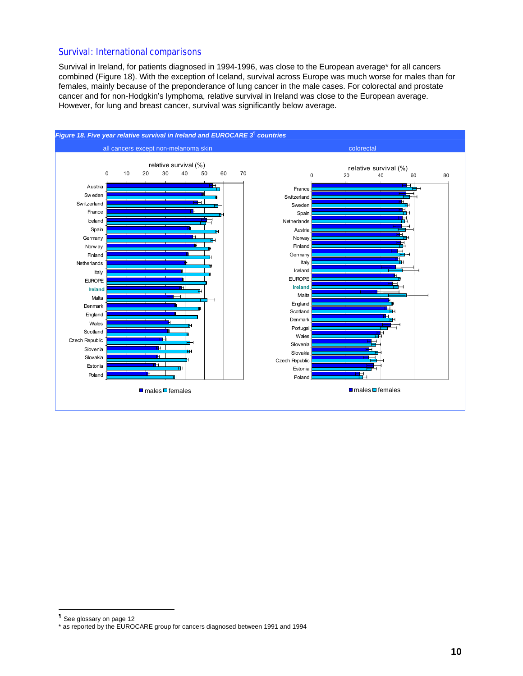### Survival: International comparisons

Survival in Ireland, for patients diagnosed in 1994-1996, was close to the European average\* for all cancers combined (Figure 18). With the exception of Iceland, survival across Europe was much worse for males than for females, mainly because of the preponderance of lung cancer in the male cases. For colorectal and prostate cancer and for non-Hodgkin's lymphoma, relative survival in Ireland was close to the European average. However, for lung and breast cancer, survival was significantly below average.



<sup>¶</sup> See glossary on page 12

<sup>\*</sup> as reported by the EUROCARE group for cancers diagnosed between 1991 and 1994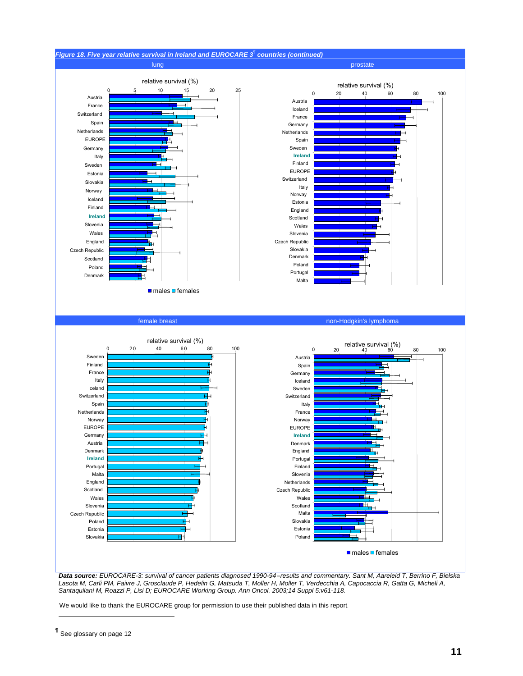

*Data source: EUROCARE-3: survival of cancer patients diagnosed 1990-94-results and commentary. Sant M, Aareleid T, Berrino F, Bielska Lasota M, Carli PM, Faivre J, Grosclaude P, Hedelin G, Matsuda T, Moller H, Moller T, Verdecchia A, Capocaccia R, Gatta G, Micheli A, Santaquilani M, Roazzi P, Lisi D; EUROCARE Working Group. Ann Oncol. 2003;14 Suppl 5:v61-118.* 

We would like to thank the EUROCARE group for permission to use their published data in this report.

**I** See glossary on page 12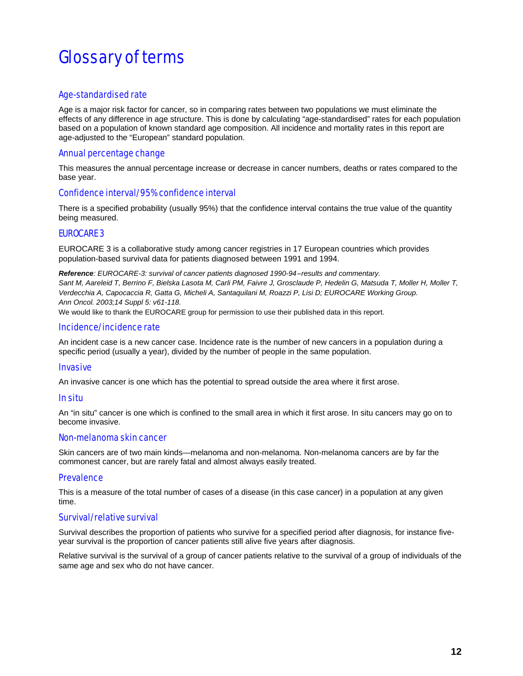# Glossary of terms

### Age-standardised rate

Age is a major risk factor for cancer, so in comparing rates between two populations we must eliminate the effects of any difference in age structure. This is done by calculating "age-standardised" rates for each population based on a population of known standard age composition. All incidence and mortality rates in this report are age-adjusted to the "European" standard population.

### Annual percentage change

This measures the annual percentage increase or decrease in cancer numbers, deaths or rates compared to the base year.

### Confidence interval/95% confidence interval

There is a specified probability (usually 95%) that the confidence interval contains the true value of the quantity being measured.

### EUROCARE 3

EUROCARE 3 is a collaborative study among cancer registries in 17 European countries which provides population-based survival data for patients diagnosed between 1991 and 1994.

*Reference: EUROCARE-3: survival of cancer patients diagnosed 1990-94-results and commentary. Sant M, Aareleid T, Berrino F, Bielska Lasota M, Carli PM, Faivre J, Grosclaude P, Hedelin G, Matsuda T, Moller H, Moller T, Verdecchia A, Capocaccia R, Gatta G, Micheli A, Santaquilani M, Roazzi P, Lisi D; EUROCARE Working Group. Ann Oncol. 2003;14 Suppl 5: v61-118.* 

We would like to thank the EUROCARE group for permission to use their published data in this report.

### Incidence/incidence rate

An incident case is a new cancer case. Incidence rate is the number of new cancers in a population during a specific period (usually a year), divided by the number of people in the same population.

#### **Invasive**

An invasive cancer is one which has the potential to spread outside the area where it first arose.

### In situ

An "in situ" cancer is one which is confined to the small area in which it first arose. In situ cancers may go on to become invasive.

#### Non-melanoma skin cancer

Skin cancers are of two main kinds—melanoma and non-melanoma. Non-melanoma cancers are by far the commonest cancer, but are rarely fatal and almost always easily treated.

#### **Prevalence**

This is a measure of the total number of cases of a disease (in this case cancer) in a population at any given time.

### Survival/relative survival

Survival describes the proportion of patients who survive for a specified period after diagnosis, for instance fiveyear survival is the proportion of cancer patients still alive five years after diagnosis.

Relative survival is the survival of a group of cancer patients relative to the survival of a group of individuals of the same age and sex who do not have cancer.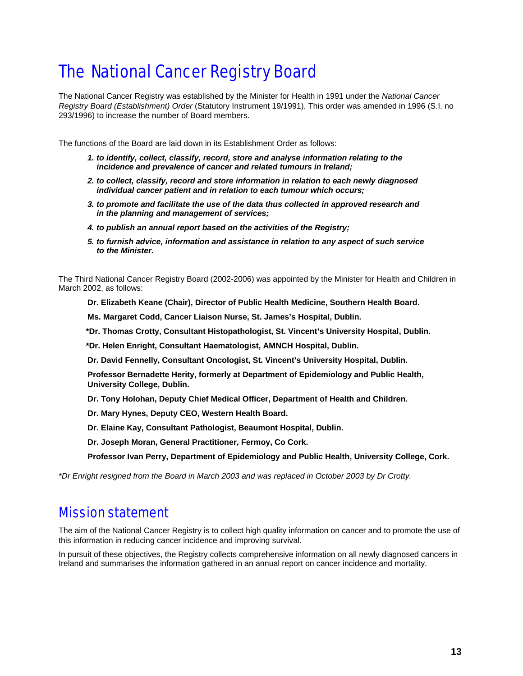# The National Cancer Registry Board

The National Cancer Registry was established by the Minister for Health in 1991 under the *National Cancer Registry Board (Establishment) Order* (Statutory Instrument 19/1991). This order was amended in 1996 (S.I. no 293/1996) to increase the number of Board members.

The functions of the Board are laid down in its Establishment Order as follows:

- *1. to identify, collect, classify, record, store and analyse information relating to the incidence and prevalence of cancer and related tumours in Ireland;*
- *2. to collect, classify, record and store information in relation to each newly diagnosed individual cancer patient and in relation to each tumour which occurs;*
- *3. to promote and facilitate the use of the data thus collected in approved research and in the planning and management of services;*
- *4. to publish an annual report based on the activities of the Registry;*
- *5. to furnish advice, information and assistance in relation to any aspect of such service to the Minister.*

The Third National Cancer Registry Board (2002-2006) was appointed by the Minister for Health and Children in March 2002, as follows:

**Dr. Elizabeth Keane (Chair), Director of Public Health Medicine, Southern Health Board.**

**Ms. Margaret Codd, Cancer Liaison Nurse, St. James's Hospital, Dublin.**

**\*Dr. Thomas Crotty, Consultant Histopathologist, St. Vincent's University Hospital, Dublin.** 

**\*Dr. Helen Enright, Consultant Haematologist, AMNCH Hospital, Dublin.** 

**Dr. David Fennelly, Consultant Oncologist, St. Vincent's University Hospital, Dublin.**

**Professor Bernadette Herity, formerly at Department of Epidemiology and Public Health, University College, Dublin.**

**Dr. Tony Holohan, Deputy Chief Medical Officer, Department of Health and Children.**

**Dr. Mary Hynes, Deputy CEO, Western Health Board.**

**Dr. Elaine Kay, Consultant Pathologist, Beaumont Hospital, Dublin.**

**Dr. Joseph Moran, General Practitioner, Fermoy, Co Cork.**

**Professor Ivan Perry, Department of Epidemiology and Public Health, University College, Cork.**

*\*Dr Enright resigned from the Board in March 2003 and was replaced in October 2003 by Dr Crotty.* 

### Mission statement

The aim of the National Cancer Registry is to collect high quality information on cancer and to promote the use of this information in reducing cancer incidence and improving survival.

In pursuit of these objectives, the Registry collects comprehensive information on all newly diagnosed cancers in Ireland and summarises the information gathered in an annual report on cancer incidence and mortality.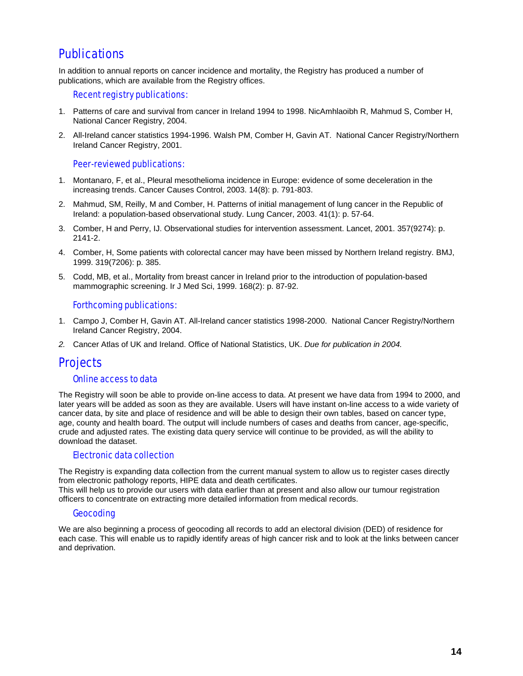### **Publications**

In addition to annual reports on cancer incidence and mortality, the Registry has produced a number of publications, which are available from the Registry offices.

### Recent registry publications:

- 1. Patterns of care and survival from cancer in Ireland 1994 to 1998. NicAmhlaoibh R, Mahmud S, Comber H, National Cancer Registry, 2004.
- 2. All-Ireland cancer statistics 1994-1996. Walsh PM, Comber H, Gavin AT. National Cancer Registry/Northern Ireland Cancer Registry, 2001.

### Peer-reviewed publications:

- 1. Montanaro, F, et al., Pleural mesothelioma incidence in Europe: evidence of some deceleration in the increasing trends. Cancer Causes Control, 2003. 14(8): p. 791-803.
- 2. Mahmud, SM, Reilly, M and Comber, H. Patterns of initial management of lung cancer in the Republic of Ireland: a population-based observational study. Lung Cancer, 2003. 41(1): p. 57-64.
- 3. Comber, H and Perry, IJ. Observational studies for intervention assessment. Lancet, 2001. 357(9274): p. 2141-2.
- 4. Comber, H, Some patients with colorectal cancer may have been missed by Northern Ireland registry. BMJ, 1999. 319(7206): p. 385.
- 5. Codd, MB, et al., Mortality from breast cancer in Ireland prior to the introduction of population-based mammographic screening. Ir J Med Sci, 1999. 168(2): p. 87-92.

### Forthcoming publications:

- 1. Campo J, Comber H, Gavin AT. All-Ireland cancer statistics 1998-2000. National Cancer Registry/Northern Ireland Cancer Registry, 2004.
- *2.* Cancer Atlas of UK and Ireland. Office of National Statistics, UK. *Due for publication in 2004.*

### **Projects**

#### Online access to data

The Registry will soon be able to provide on-line access to data. At present we have data from 1994 to 2000, and later years will be added as soon as they are available. Users will have instant on-line access to a wide variety of cancer data, by site and place of residence and will be able to design their own tables, based on cancer type, age, county and health board. The output will include numbers of cases and deaths from cancer, age-specific, crude and adjusted rates. The existing data query service will continue to be provided, as will the ability to download the dataset.

### Electronic data collection

The Registry is expanding data collection from the current manual system to allow us to register cases directly from electronic pathology reports, HIPE data and death certificates.

This will help us to provide our users with data earlier than at present and also allow our tumour registration officers to concentrate on extracting more detailed information from medical records.

### Geocoding

We are also beginning a process of geocoding all records to add an electoral division (DED) of residence for each case. This will enable us to rapidly identify areas of high cancer risk and to look at the links between cancer and deprivation.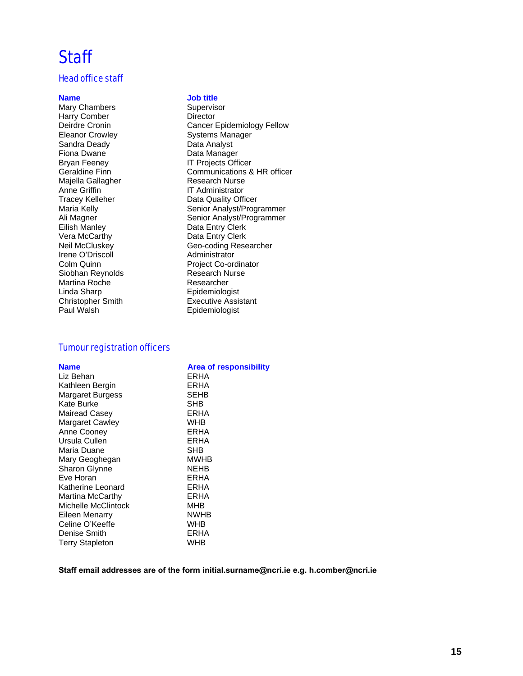### **Staff**

### Head office staff

Mary Chambers<br>
Harry Comber<br>
Harry Comber<br>
Supervisor Director Harry Comber Sandra Deady Data Analyst Fiona Dwane **Data Manager** Bryan Feeney **IT Projects Officer** Majella Gallagher<br>Anne Griffin Anne Griffin **IT Administrator**<br> **Tracey Kelleher IT Administrator** Vera McCarthy **Data Entry Clerk**<br> **Neil McCluskev Data Ceo-coding Rese** Irene O'Driscoll Administrator Siobhan Reynolds Martina Roche and Researcher<br>
Linda Sharp<br>
Epidemioloc Linda Sharp<br>
Christopher Smith<br>
Executive Assis

#### **Name Job title**

Deirdre Cronin **Cancer Epidemiology Fellow**<br>
Eleanor Crowley **Cancer Example Systems Manager** Systems Manager Geraldine Finn **Communications & HR officer**<br>
Maiella Gallagher **Communications & HR officer**<br>
Research Nurse Tracey Kelleher **Data Quality Officer**<br>Maria Kelly **Data Communist Control** Senior Analyst/Prog Senior Analyst/Programmer Ali Magner **Senior Analyst/Programmer**<br>
Eilish Manley **Senior Analyst** Data Entry Clerk Data Entry Clerk Geo-coding Researcher Project Co-ordinator<br>Research Nurse Christopher Smith Executive Assistant<br>
Paul Walsh Christopher Christopher Epidemiologist Epidemiologist

### Tumour registration officers

| <b>Name</b>            | <b>Area of responsibility</b> |
|------------------------|-------------------------------|
| Liz Behan              | ERHA                          |
| Kathleen Bergin        | ERHA                          |
| Margaret Burgess       | SEHB                          |
| Kate Burke             | SHB                           |
| Mairead Casey          | ERHA                          |
| Margaret Cawley        | <b>WHB</b>                    |
| Anne Cooney            | ERHA                          |
| Ursula Cullen          | ERHA                          |
| Maria Duane            | SHB                           |
| Mary Geoghegan         | <b>MWHB</b>                   |
| <b>Sharon Glynne</b>   | NEHB                          |
| Eve Horan              | ERHA                          |
| Katherine Leonard      | ERHA                          |
| Martina McCarthy       | ERHA                          |
| Michelle McClintock    | МНВ                           |
| Eileen Menarry         | NWHB                          |
| Celine O'Keeffe        | WHB                           |
| Denise Smith           | ERHA                          |
| <b>Terry Stapleton</b> | WHB                           |

#### **Staff email addresses are of the form initial.surname@ncri.ie e.g. h.comber@ncri.ie**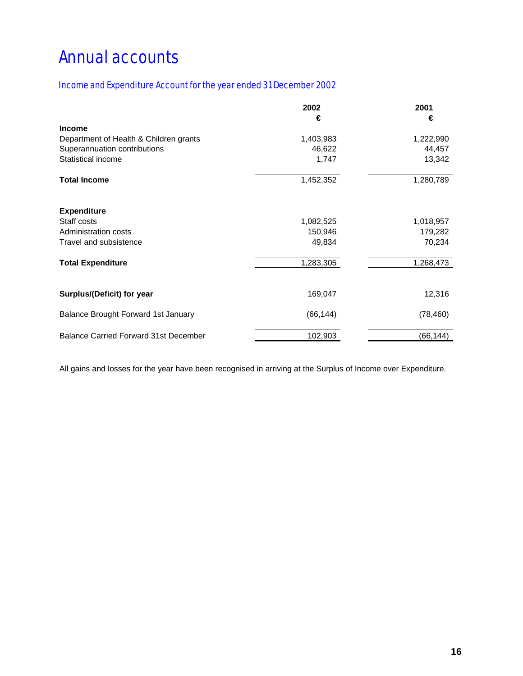# Annual accounts

### Income and Expenditure Account for the year ended 31 December 2002

|                                              | 2002      | 2001      |
|----------------------------------------------|-----------|-----------|
|                                              | €         | €         |
| <b>Income</b>                                |           |           |
| Department of Health & Children grants       | 1,403,983 | 1,222,990 |
| Superannuation contributions                 | 46,622    | 44,457    |
| Statistical income                           | 1,747     | 13,342    |
| <b>Total Income</b>                          | 1,452,352 | 1,280,789 |
| <b>Expenditure</b>                           |           |           |
| Staff costs                                  | 1,082,525 | 1,018,957 |
| Administration costs                         | 150,946   | 179,282   |
| Travel and subsistence                       | 49,834    | 70,234    |
| <b>Total Expenditure</b>                     | 1,283,305 | 1,268,473 |
| Surplus/(Deficit) for year                   | 169,047   | 12,316    |
| <b>Balance Brought Forward 1st January</b>   | (66, 144) | (78, 460) |
| <b>Balance Carried Forward 31st December</b> | 102,903   | (66, 144) |

All gains and losses for the year have been recognised in arriving at the Surplus of Income over Expenditure.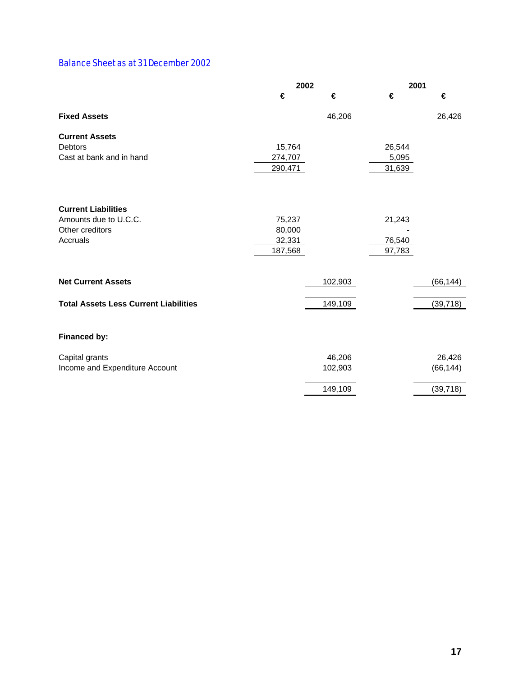### Balance Sheet as at 31 December 2002

|                                              | 2002    |         | 2001   |           |
|----------------------------------------------|---------|---------|--------|-----------|
|                                              | €       | €       | €      | €         |
| <b>Fixed Assets</b>                          |         | 46,206  |        | 26,426    |
| <b>Current Assets</b>                        |         |         |        |           |
| <b>Debtors</b>                               | 15,764  |         | 26,544 |           |
| Cast at bank and in hand                     | 274,707 |         | 5,095  |           |
|                                              | 290,471 |         | 31,639 |           |
|                                              |         |         |        |           |
| <b>Current Liabilities</b>                   |         |         |        |           |
| Amounts due to U.C.C.                        | 75,237  |         | 21,243 |           |
| Other creditors                              | 80,000  |         |        |           |
| Accruals                                     | 32,331  |         | 76,540 |           |
|                                              | 187,568 |         | 97,783 |           |
|                                              |         |         |        |           |
| <b>Net Current Assets</b>                    |         | 102,903 |        | (66, 144) |
| <b>Total Assets Less Current Liabilities</b> |         | 149,109 |        | (39, 718) |
|                                              |         |         |        |           |
| Financed by:                                 |         |         |        |           |
| Capital grants                               |         | 46,206  |        | 26,426    |
| Income and Expenditure Account               |         | 102,903 |        | (66, 144) |
|                                              |         | 149,109 |        | (39, 718) |
|                                              |         |         |        |           |